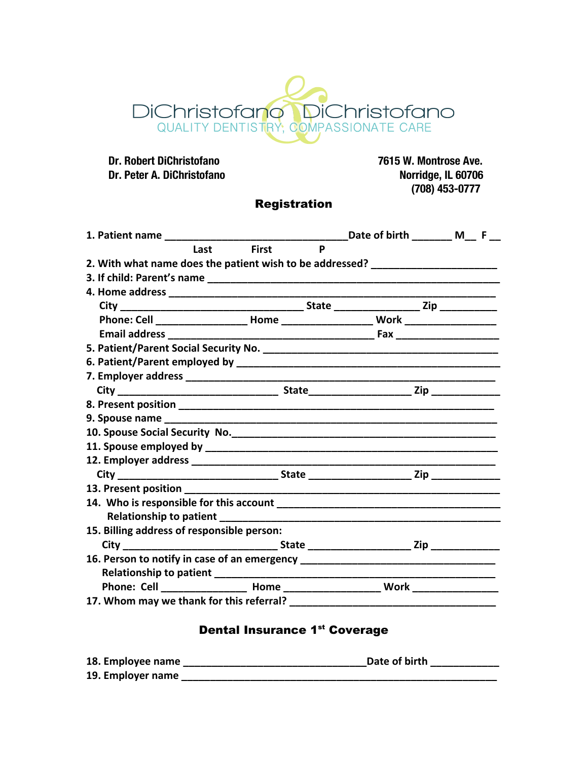# DiChristofano DiChristofano

**Dr. Peter A. DiChristofano** 

 **Dr. Robert DiChristofano 7615 W. Montrose Ave. (708) 453-0777**

# Registration

|                                                                                  |                   | Date of birth M F                                                                |
|----------------------------------------------------------------------------------|-------------------|----------------------------------------------------------------------------------|
| Last                                                                             | <b>First</b><br>P |                                                                                  |
| 2. With what name does the patient wish to be addressed? _______________________ |                   |                                                                                  |
|                                                                                  |                   |                                                                                  |
|                                                                                  |                   |                                                                                  |
|                                                                                  |                   |                                                                                  |
|                                                                                  |                   | Phone: Cell ___________________ Home _____________________ Work ________________ |
|                                                                                  |                   |                                                                                  |
|                                                                                  |                   |                                                                                  |
|                                                                                  |                   |                                                                                  |
|                                                                                  |                   |                                                                                  |
|                                                                                  |                   |                                                                                  |
|                                                                                  |                   |                                                                                  |
|                                                                                  |                   |                                                                                  |
|                                                                                  |                   |                                                                                  |
|                                                                                  |                   |                                                                                  |
|                                                                                  |                   |                                                                                  |
|                                                                                  |                   |                                                                                  |
|                                                                                  |                   |                                                                                  |
|                                                                                  |                   |                                                                                  |
|                                                                                  |                   |                                                                                  |
| 15. Billing address of responsible person:                                       |                   |                                                                                  |
|                                                                                  |                   |                                                                                  |
| 16. Person to notify in case of an emergency ___________________________________ |                   |                                                                                  |
|                                                                                  |                   |                                                                                  |
|                                                                                  |                   | Phone: Cell __________________ Home ______________________ Work ________________ |
|                                                                                  |                   |                                                                                  |

# Dental Insurance 1st Coverage

| 18. Employee name | Date of birth |
|-------------------|---------------|
| 19. Employer name |               |